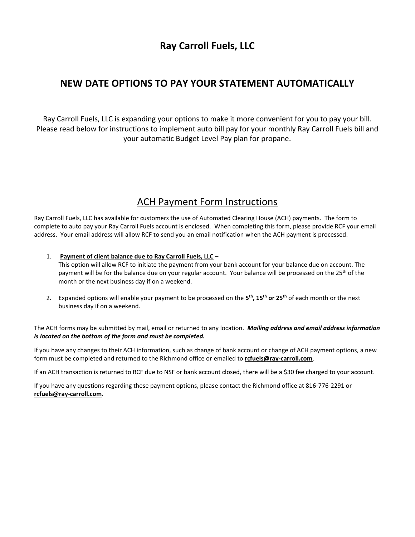## **Ray Carroll Fuels, LLC**

#### **NEW DATE OPTIONS TO PAY YOUR STATEMENT AUTOMATICALLY**

Ray Carroll Fuels, LLC is expanding your options to make it more convenient for you to pay your bill. Please read below for instructions to implement auto bill pay for your monthly Ray Carroll Fuels bill and your automatic Budget Level Pay plan for propane.

### ACH Payment Form Instructions

Ray Carroll Fuels, LLC has available for customers the use of Automated Clearing House (ACH) payments. The form to complete to auto pay your Ray Carroll Fuels account is enclosed. When completing this form, please provide RCF your email address. Your email address will allow RCF to send you an email notification when the ACH payment is processed.

- 1. **Payment of client balance due to Ray Carroll Fuels, LLC** This option will allow RCF to initiate the payment from your bank account for your balance due on account. The payment will be for the balance due on your regular account. Your balance will be processed on the 25<sup>th</sup> of the month or the next business day if on a weekend.
- 2. Expanded options will enable your payment to be processed on the **5 th, 15th or 25th** of each month or the next business day if on a weekend.

The ACH forms may be submitted by mail, email or returned to any location. *Mailing address and email address information is located on the bottom of the form and must be completed.*

If you have any changes to their ACH information, such as change of bank account or change of ACH payment options, a new form must be completed and returned to the Richmond office or emailed to **[rcfuels@ray-carroll.com](mailto:rcfuels@ray-carroll.com)**.

If an ACH transaction is returned to RCF due to NSF or bank account closed, there will be a \$30 fee charged to your account.

If you have any questions regarding these payment options, please contact the Richmond office at 816-776-2291 or **[rcfuels@ray-carroll.com](mailto:rcfuels@ray-carroll.com)**.